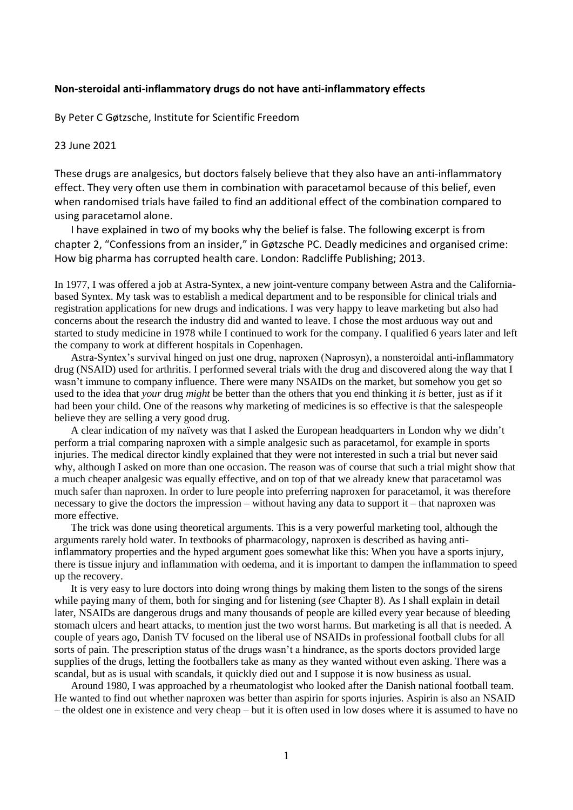## **Non-steroidal anti-inflammatory drugs do not have anti-inflammatory effects**

By Peter C Gøtzsche, Institute for Scientific Freedom

## 23 June 2021

These drugs are analgesics, but doctors falsely believe that they also have an anti-inflammatory effect. They very often use them in combination with paracetamol because of this belief, even when randomised trials have failed to find an additional effect of the combination compared to using paracetamol alone.

I have explained in two of my books why the belief is false. The following excerpt is from chapter 2, "Confessions from an insider," in Gøtzsche PC. Deadly medicines and organised crime: How big pharma has corrupted health care. London: Radcliffe Publishing; 2013.

In 1977, I was offered a job at Astra-Syntex, a new joint-venture company between Astra and the Californiabased Syntex. My task was to establish a medical department and to be responsible for clinical trials and registration applications for new drugs and indications. I was very happy to leave marketing but also had concerns about the research the industry did and wanted to leave. I chose the most arduous way out and started to study medicine in 1978 while I continued to work for the company. I qualified 6 years later and left the company to work at different hospitals in Copenhagen.

Astra-Syntex's survival hinged on just one drug, naproxen (Naprosyn), a nonsteroidal anti-inflammatory drug (NSAID) used for arthritis. I performed several trials with the drug and discovered along the way that I wasn't immune to company influence. There were many NSAIDs on the market, but somehow you get so used to the idea that *your* drug *might* be better than the others that you end thinking it *is* better, just as if it had been your child. One of the reasons why marketing of medicines is so effective is that the salespeople believe they are selling a very good drug.

A clear indication of my naïvety was that I asked the European headquarters in London why we didn't perform a trial comparing naproxen with a simple analgesic such as paracetamol, for example in sports injuries. The medical director kindly explained that they were not interested in such a trial but never said why, although I asked on more than one occasion. The reason was of course that such a trial might show that a much cheaper analgesic was equally effective, and on top of that we already knew that paracetamol was much safer than naproxen. In order to lure people into preferring naproxen for paracetamol, it was therefore necessary to give the doctors the impression – without having any data to support it – that naproxen was more effective.

The trick was done using theoretical arguments. This is a very powerful marketing tool, although the arguments rarely hold water. In textbooks of pharmacology, naproxen is described as having antiinflammatory properties and the hyped argument goes somewhat like this: When you have a sports injury, there is tissue injury and inflammation with oedema, and it is important to dampen the inflammation to speed up the recovery.

It is very easy to lure doctors into doing wrong things by making them listen to the songs of the sirens while paying many of them, both for singing and for listening (*see* Chapter 8). As I shall explain in detail later, NSAIDs are dangerous drugs and many thousands of people are killed every year because of bleeding stomach ulcers and heart attacks, to mention just the two worst harms. But marketing is all that is needed. A couple of years ago, Danish TV focused on the liberal use of NSAIDs in professional football clubs for all sorts of pain. The prescription status of the drugs wasn't a hindrance, as the sports doctors provided large supplies of the drugs, letting the footballers take as many as they wanted without even asking. There was a scandal, but as is usual with scandals, it quickly died out and I suppose it is now business as usual.

Around 1980, I was approached by a rheumatologist who looked after the Danish national football team. He wanted to find out whether naproxen was better than aspirin for sports injuries. Aspirin is also an NSAID – the oldest one in existence and very cheap – but it is often used in low doses where it is assumed to have no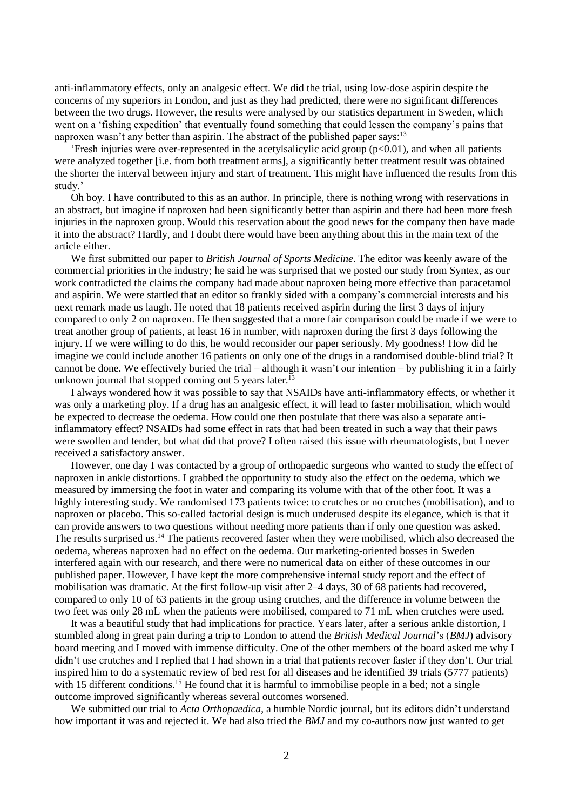anti-inflammatory effects, only an analgesic effect. We did the trial, using low-dose aspirin despite the concerns of my superiors in London, and just as they had predicted, there were no significant differences between the two drugs. However, the results were analysed by our statistics department in Sweden, which went on a 'fishing expedition' that eventually found something that could lessen the company's pains that naproxen wasn't any better than aspirin. The abstract of the published paper says:<sup>13</sup>

'Fresh injuries were over-represented in the acetylsalicylic acid group (p<0.01), and when all patients were analyzed together [i.e. from both treatment arms], a significantly better treatment result was obtained the shorter the interval between injury and start of treatment. This might have influenced the results from this study.'

Oh boy. I have contributed to this as an author. In principle, there is nothing wrong with reservations in an abstract, but imagine if naproxen had been significantly better than aspirin and there had been more fresh injuries in the naproxen group. Would this reservation about the good news for the company then have made it into the abstract? Hardly, and I doubt there would have been anything about this in the main text of the article either.

We first submitted our paper to *British Journal of Sports Medicine*. The editor was keenly aware of the commercial priorities in the industry; he said he was surprised that we posted our study from Syntex, as our work contradicted the claims the company had made about naproxen being more effective than paracetamol and aspirin. We were startled that an editor so frankly sided with a company's commercial interests and his next remark made us laugh. He noted that 18 patients received aspirin during the first 3 days of injury compared to only 2 on naproxen. He then suggested that a more fair comparison could be made if we were to treat another group of patients, at least 16 in number, with naproxen during the first 3 days following the injury. If we were willing to do this, he would reconsider our paper seriously. My goodness! How did he imagine we could include another 16 patients on only one of the drugs in a randomised double-blind trial? It cannot be done. We effectively buried the trial – although it wasn't our intention – by publishing it in a fairly unknown journal that stopped coming out  $5$  years later.<sup>13</sup>

I always wondered how it was possible to say that NSAIDs have anti-inflammatory effects, or whether it was only a marketing ploy. If a drug has an analgesic effect, it will lead to faster mobilisation, which would be expected to decrease the oedema. How could one then postulate that there was also a separate antiinflammatory effect? NSAIDs had some effect in rats that had been treated in such a way that their paws were swollen and tender, but what did that prove? I often raised this issue with rheumatologists, but I never received a satisfactory answer.

However, one day I was contacted by a group of orthopaedic surgeons who wanted to study the effect of naproxen in ankle distortions. I grabbed the opportunity to study also the effect on the oedema, which we measured by immersing the foot in water and comparing its volume with that of the other foot. It was a highly interesting study. We randomised 173 patients twice: to crutches or no crutches (mobilisation), and to naproxen or placebo. This so-called factorial design is much underused despite its elegance, which is that it can provide answers to two questions without needing more patients than if only one question was asked. The results surprised us.<sup>14</sup> The patients recovered faster when they were mobilised, which also decreased the oedema, whereas naproxen had no effect on the oedema. Our marketing-oriented bosses in Sweden interfered again with our research, and there were no numerical data on either of these outcomes in our published paper. However, I have kept the more comprehensive internal study report and the effect of mobilisation was dramatic. At the first follow-up visit after 2–4 days, 30 of 68 patients had recovered, compared to only 10 of 63 patients in the group using crutches, and the difference in volume between the two feet was only 28 mL when the patients were mobilised, compared to 71 mL when crutches were used.

It was a beautiful study that had implications for practice. Years later, after a serious ankle distortion, I stumbled along in great pain during a trip to London to attend the *British Medical Journal*'s (*BMJ*) advisory board meeting and I moved with immense difficulty. One of the other members of the board asked me why I didn't use crutches and I replied that I had shown in a trial that patients recover faster if they don't. Our trial inspired him to do a systematic review of bed rest for all diseases and he identified 39 trials (5777 patients) with 15 different conditions.<sup>15</sup> He found that it is harmful to immobilise people in a bed; not a single outcome improved significantly whereas several outcomes worsened.

We submitted our trial to *Acta Orthopaedica*, a humble Nordic journal, but its editors didn't understand how important it was and rejected it. We had also tried the *BMJ* and my co-authors now just wanted to get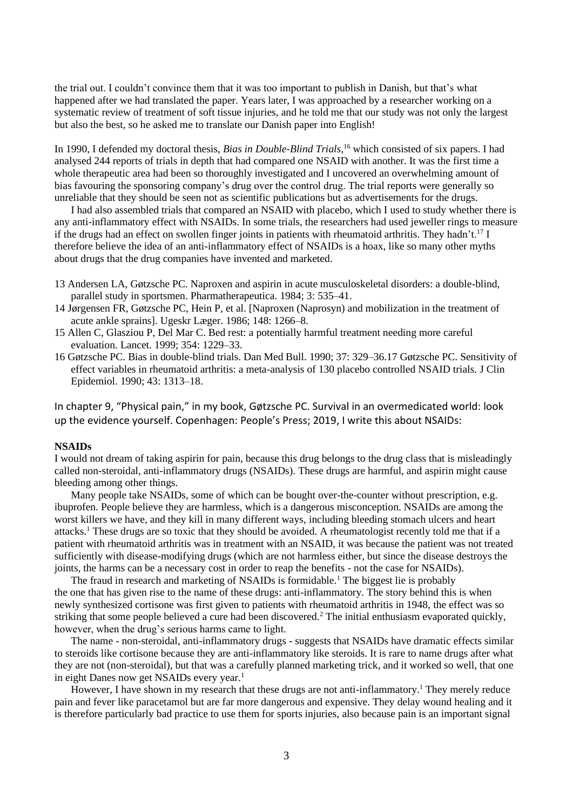the trial out. I couldn't convince them that it was too important to publish in Danish, but that's what happened after we had translated the paper. Years later, I was approached by a researcher working on a systematic review of treatment of soft tissue injuries, and he told me that our study was not only the largest but also the best, so he asked me to translate our Danish paper into English!

In 1990, I defended my doctoral thesis, *Bias in Double-Blind Trials*, <sup>16</sup> which consisted of six papers. I had analysed 244 reports of trials in depth that had compared one NSAID with another. It was the first time a whole therapeutic area had been so thoroughly investigated and I uncovered an overwhelming amount of bias favouring the sponsoring company's drug over the control drug. The trial reports were generally so unreliable that they should be seen not as scientific publications but as advertisements for the drugs.

I had also assembled trials that compared an NSAID with placebo, which I used to study whether there is any anti-inflammatory effect with NSAIDs. In some trials, the researchers had used jeweller rings to measure if the drugs had an effect on swollen finger joints in patients with rheumatoid arthritis. They hadn't.<sup>17</sup> I therefore believe the idea of an anti-inflammatory effect of NSAIDs is a hoax, like so many other myths about drugs that the drug companies have invented and marketed.

- 13 Andersen LA, Gøtzsche PC. Naproxen and aspirin in acute musculoskeletal disorders: a double-blind, parallel study in sportsmen. Pharmatherapeutica. 1984; 3: 535–41.
- 14 Jørgensen FR, Gøtzsche PC, Hein P, et al. [Naproxen (Naprosyn) and mobilization in the treatment of acute ankle sprains]. Ugeskr Læger. 1986; 148: 1266–8.
- 15 Allen C, Glasziou P, Del Mar C. Bed rest: a potentially harmful treatment needing more careful evaluation. Lancet. 1999; 354: 1229–33.
- 16 Gøtzsche PC. Bias in double-blind trials. Dan Med Bull. 1990; 37: 329–36.17 Gøtzsche PC. Sensitivity of effect variables in rheumatoid arthritis: a meta-analysis of 130 placebo controlled NSAID trials. J Clin Epidemiol. 1990; 43: 1313–18.

In chapter 9, "Physical pain," in my book, Gøtzsche PC. Survival in an overmedicated world: look up the evidence yourself. Copenhagen: People's Press; 2019, I write this about NSAIDs:

## **NSAIDs**

I would not dream of taking aspirin for pain, because this drug belongs to the drug class that is misleadingly called non-steroidal, anti-inflammatory drugs (NSAIDs). These drugs are harmful, and aspirin might cause bleeding among other things.

Many people take NSAIDs, some of which can be bought over-the-counter without prescription, e.g. ibuprofen. People believe they are harmless, which is a dangerous misconception. NSAIDs are among the worst killers we have, and they kill in many different ways, including bleeding stomach ulcers and heart attacks.<sup>1</sup> These drugs are so toxic that they should be avoided. A rheumatologist recently told me that if a patient with rheumatoid arthritis was in treatment with an NSAID, it was because the patient was not treated sufficiently with disease-modifying drugs (which are not harmless either, but since the disease destroys the joints, the harms can be a necessary cost in order to reap the benefits - not the case for NSAIDs).

The fraud in research and marketing of NSAIDs is formidable.<sup>1</sup> The biggest lie is probably the one that has given rise to the name of these drugs: anti-inflammatory. The story behind this is when newly synthesized cortisone was first given to patients with rheumatoid arthritis in 1948, the effect was so striking that some people believed a cure had been discovered.<sup>2</sup> The initial enthusiasm evaporated quickly, however, when the drug's serious harms came to light.

The name - non-steroidal, anti-inflammatory drugs - suggests that NSAIDs have dramatic effects similar to steroids like cortisone because they are anti-inflammatory like steroids. It is rare to name drugs after what they are not (non-steroidal), but that was a carefully planned marketing trick, and it worked so well, that one in eight Danes now get NSAIDs every year.<sup>1</sup>

However, I have shown in my research that these drugs are not anti-inflammatory.<sup>1</sup> They merely reduce pain and fever like paracetamol but are far more dangerous and expensive. They delay wound healing and it is therefore particularly bad practice to use them for sports injuries, also because pain is an important signal